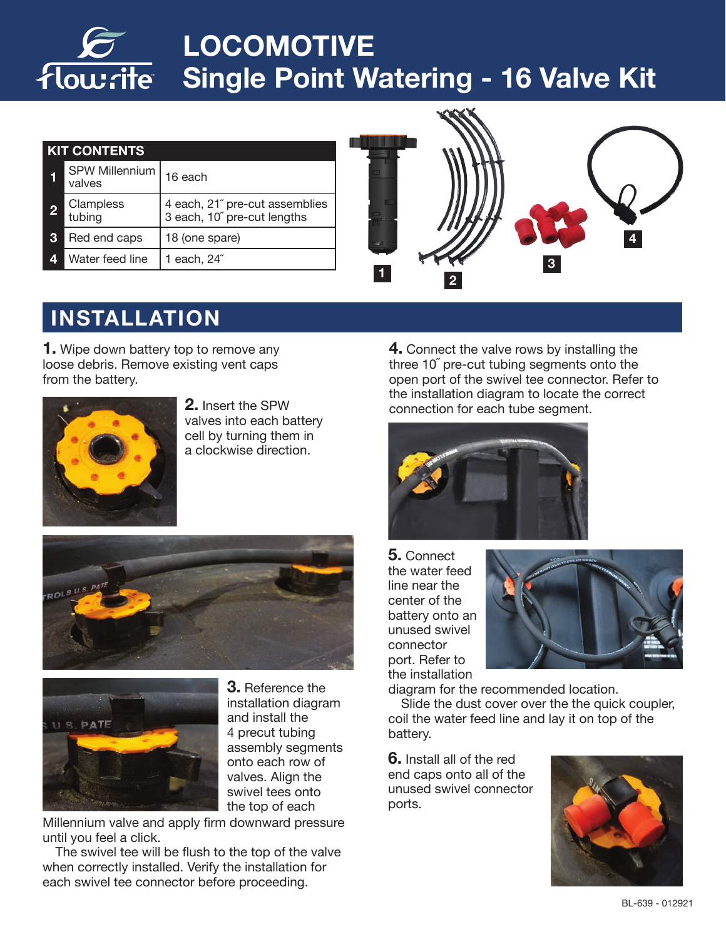# **LOCOMOTIVE Single Point Watering - 16 Valve Kit**

| <b>KIT CONTENTS</b> |                                 |                                                               |
|---------------------|---------------------------------|---------------------------------------------------------------|
|                     | <b>SPW Millennium</b><br>valves | 16 each                                                       |
| 2                   | Clampless<br>tubing             | 4 each, 21" pre-cut assemblies<br>3 each, 10" pre-cut lengths |
| 3                   | Red end caps                    | 18 (one spare)                                                |
| Δ                   | Water feed line                 | 1 each, 24″                                                   |



## **INSTALLATION**

**1.** Wipe down battery top to remove any loose debris. Remove existing vent caps from the battery.



**2.** Insert the SPW valves into each battery cell by turning them in a clockwise direction.





**3.** Reference the installation diagram and install the 4 precut tubing assembly segments onto each row of valves. Align the swivel tees onto the top of each

Millennium valve and apply firm downward pressure until you feel a click.

The swivel tee will be flush to the top of the valve when correctly installed. Verify the installation for each swivel tee connector before proceeding.

**4.** Connect the valve rows by installing the three 10<sup>"</sup> pre-cut tubing segments onto the open port of the swivel tee connector. Refer to the installation diagram to locate the correct connection for each tube segment.



**5.** Connect the water feed line near the center of the battery onto an unused swivel connector port. Refer to the installation



diagram for the recommended location.

Slide the dust cover over the the quick coupler, coil the water feed line and lay it on top of the battery.

**6.** Install all of the red end caps onto all of the unused swivel connector ports.